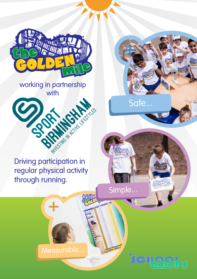

working in partnership with



Driving participation in regular physical activity through running.

Simple...

wgolden-mile.ov

 $S'$ 

Safe...

Measurable...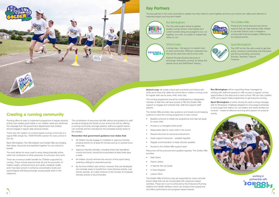Running offers an easy to implement programme of regular physical activity that creates good habits in our children week and reinforces the message from the government departments that children should engage in regular daily physical activity.

That's why the creation of a school based running community is a logical AND simple ALL YEAR ROUND solution for every school in the city.

Sport Birmingham, Run Birmingham and Golden Mile are bringing their ideas, resources and expertise together for your school to benefit.

The work allows for every pupil to enjoy being physically active, within the constraints of other pressures of curriculum time work.

There are numerous health benefits for Children supported by running. These include reduced body fat and the promotion of healthy weight, enhanced bone and cardio-metabolic health, and it has been proven to enhance concentration levels and psychological well-being amongst young people when in the classroom.

- All children should engage in moderate to vigorous intensity physical activity for at least 60 minutes and up to several hours every day.
- Vigorous intensity activities, including those that strengthen muscle and bone, should be incorporated at least three days a week.
- All children should minimise the amount of time spent being sedentary (sitting) for extended periods.
- By the time children start school, however, they are developed and mentally ready to benefit from more intensive activity, over shorter periods, so a daily minimum of 60 minutes of moderate intensity activity is recommended.



The combination of resources will offer advice and guidance to staff as well as bringing the friends of your school into this by offering a running community amongst parents, staff and support teams – can motivate and be motivated by the increased activity levels of the children.

#### **Remember that government guidance now states that:**

- Wall Charts
- Parent Letters
- A Teacher Set Up Guide
- A Class Register
- Lesson Plans

**School Loop** will create a fixed start and finish point linked with white arrow lines that utilise the school site to create a running route for regular safe use by every child, every day. **Run Birmingham** will be supporting these messages by working with staff and parents to offer access to regular running opportunities in the area local to each school. RB can train Leaders (LiRF) and support initial programmes to get everyone running.

> **Sport Birmingham** is further driving the adult running message with its Workplace Challenge designed to encourage businesses to encourage their staff to run, be healthy and where families are involved – create an effective and long term passion for physical activity.



## Creating a running community

The running programme should be coordinated by a designated member of staff who will have access to RB and Golden Mile support to engage and motivate kids, staff and support staff/ parents.

The Golden Mile provides clear guidance and simple record keeping systems to track the running programme in every school:

- Baseline protocol to initiate the programme and help set goals for every child
- Access to a managed online portal
- Measurable data for every child in the school
- Reward structure for personal achievement
- Great support resources updated regularly
- Regular communication to keep schools updated
- Access to the Golden Mile support team

Resources will be produced and updated regularly. The Golden Mile provides:

The Golden Mile & School Loop are supported by cross curricular lesson ideas that can be incorporated with classroom based activities. These are in turn re-enforced by the Endurance Running initiative from British Athletics which can enhance the programme and offers performance and progress based rewards.



## Key Partners

The key partners to this work would like to explain how they intend to work together and how your school can utilise each element to maixmise impact and long term health:

#### Run Birmingham:



**SCHBBbs** 

The City wide project aimed at getting people moving: Novice, Intermediate and current runners being encouraged to run, run together, run more, run better or indeed help others to run!

#### The Golden Mile:

Physical and virtual resource and school support that can help teachers help children to use their School Loop to instigate a running habit that encourages a lifelong love for physical activity.

#### School Loops:

A simple idea – the laying of a marked route on every school site. Offering a measured loop that can be used every day by every child.

Support through physical resources to encourage "endurance running" for fitness (EA awards docs) and Staff/Parent Training.

#### Sport Birmingham:

The CSP for the City with a remit to get kids active, working in partnership with Education and the surrounding community: Schools, Teachers, Clubs & Coaches.

> working in partnership with